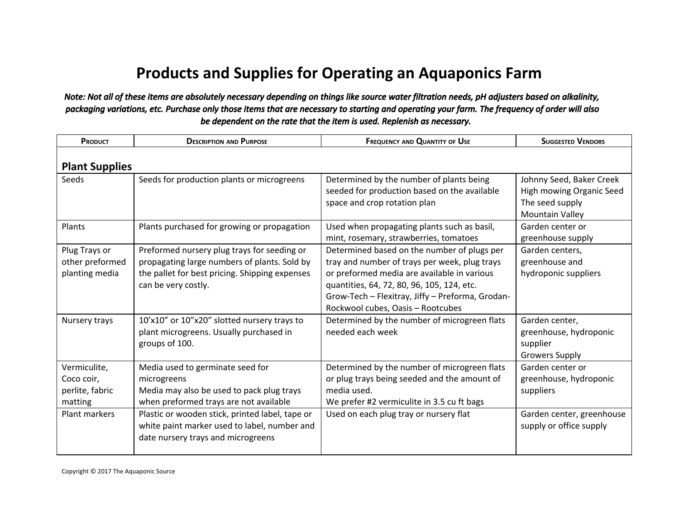## **Products and Supplies for Operating an Aquaponics Farm**

## *Note: Not all of these items are absolutely necessary depending on things like source water filtration needs, pH adjusters based on alkalinity, packaging variations, etc. Purchase only those items that are necessary to starting and operating your farm. The frequency of order will also be dependent on the rate that the item is used. Replenish as necessary.*

| PRODUCT                                                  | <b>DESCRIPTION AND PURPOSE</b>                                                                                                                                       | <b>FREQUENCY AND QUANTITY OF USE</b>                                                                                                                                                                                                                                               | <b>SUGGESTED VENDORS</b>                                                                          |  |  |
|----------------------------------------------------------|----------------------------------------------------------------------------------------------------------------------------------------------------------------------|------------------------------------------------------------------------------------------------------------------------------------------------------------------------------------------------------------------------------------------------------------------------------------|---------------------------------------------------------------------------------------------------|--|--|
| <b>Plant Supplies</b>                                    |                                                                                                                                                                      |                                                                                                                                                                                                                                                                                    |                                                                                                   |  |  |
| Seeds                                                    | Seeds for production plants or microgreens                                                                                                                           | Determined by the number of plants being<br>seeded for production based on the available<br>space and crop rotation plan                                                                                                                                                           | Johnny Seed, Baker Creek<br>High mowing Organic Seed<br>The seed supply<br><b>Mountain Valley</b> |  |  |
| Plants                                                   | Plants purchased for growing or propagation                                                                                                                          | Used when propagating plants such as basil,<br>mint, rosemary, strawberries, tomatoes                                                                                                                                                                                              | Garden center or<br>greenhouse supply                                                             |  |  |
| Plug Trays or<br>other preformed<br>planting media       | Preformed nursery plug trays for seeding or<br>propagating large numbers of plants. Sold by<br>the pallet for best pricing. Shipping expenses<br>can be very costly. | Determined based on the number of plugs per<br>tray and number of trays per week, plug trays<br>or preformed media are available in various<br>quantities, 64, 72, 80, 96, 105, 124, etc.<br>Grow-Tech - Flexitray, Jiffy - Preforma, Grodan-<br>Rockwool cubes, Oasis - Rootcubes | Garden centers,<br>greenhouse and<br>hydroponic suppliers                                         |  |  |
| Nursery trays                                            | 10'x10" or 10"x20" slotted nursery trays to<br>plant microgreens. Usually purchased in<br>groups of 100.                                                             | Determined by the number of microgreen flats<br>needed each week                                                                                                                                                                                                                   | Garden center,<br>greenhouse, hydroponic<br>supplier<br><b>Growers Supply</b>                     |  |  |
| Vermiculite,<br>Coco coir,<br>perlite, fabric<br>matting | Media used to germinate seed for<br>microgreens<br>Media may also be used to pack plug trays<br>when preformed trays are not available                               | Determined by the number of microgreen flats<br>or plug trays being seeded and the amount of<br>media used.<br>We prefer #2 vermiculite in 3.5 cu ft bags                                                                                                                          | Garden center or<br>greenhouse, hydroponic<br>suppliers                                           |  |  |
| Plant markers                                            | Plastic or wooden stick, printed label, tape or<br>white paint marker used to label, number and<br>date nursery trays and microgreens                                | Used on each plug tray or nursery flat                                                                                                                                                                                                                                             | Garden center, greenhouse<br>supply or office supply                                              |  |  |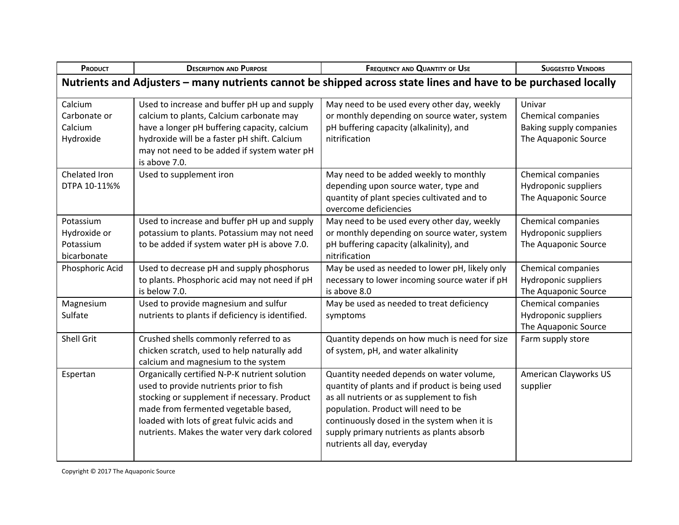| PRODUCT                                                                                                        | <b>DESCRIPTION AND PURPOSE</b>                                                                                                                                                                                                                                                 | <b>FREQUENCY AND QUANTITY OF USE</b>                                                                                                                                                                                                                                                                       | <b>SUGGESTED VENDORS</b>                                                        |  |  |
|----------------------------------------------------------------------------------------------------------------|--------------------------------------------------------------------------------------------------------------------------------------------------------------------------------------------------------------------------------------------------------------------------------|------------------------------------------------------------------------------------------------------------------------------------------------------------------------------------------------------------------------------------------------------------------------------------------------------------|---------------------------------------------------------------------------------|--|--|
| Nutrients and Adjusters - many nutrients cannot be shipped across state lines and have to be purchased locally |                                                                                                                                                                                                                                                                                |                                                                                                                                                                                                                                                                                                            |                                                                                 |  |  |
| Calcium<br>Carbonate or<br>Calcium<br>Hydroxide                                                                | Used to increase and buffer pH up and supply<br>calcium to plants, Calcium carbonate may<br>have a longer pH buffering capacity, calcium<br>hydroxide will be a faster pH shift. Calcium<br>may not need to be added if system water pH<br>is above 7.0.                       | May need to be used every other day, weekly<br>or monthly depending on source water, system<br>pH buffering capacity (alkalinity), and<br>nitrification                                                                                                                                                    | Univar<br>Chemical companies<br>Baking supply companies<br>The Aquaponic Source |  |  |
| Chelated Iron<br>DTPA 10-11%%                                                                                  | Used to supplement iron                                                                                                                                                                                                                                                        | May need to be added weekly to monthly<br>depending upon source water, type and<br>quantity of plant species cultivated and to<br>overcome deficiencies                                                                                                                                                    | Chemical companies<br>Hydroponic suppliers<br>The Aquaponic Source              |  |  |
| Potassium<br>Hydroxide or<br>Potassium<br>bicarbonate                                                          | Used to increase and buffer pH up and supply<br>potassium to plants. Potassium may not need<br>to be added if system water pH is above 7.0.                                                                                                                                    | May need to be used every other day, weekly<br>or monthly depending on source water, system<br>pH buffering capacity (alkalinity), and<br>nitrification                                                                                                                                                    | Chemical companies<br>Hydroponic suppliers<br>The Aquaponic Source              |  |  |
| Phosphoric Acid                                                                                                | Used to decrease pH and supply phosphorus<br>to plants. Phosphoric acid may not need if pH<br>is below 7.0.                                                                                                                                                                    | May be used as needed to lower pH, likely only<br>necessary to lower incoming source water if pH<br>is above 8.0                                                                                                                                                                                           | Chemical companies<br>Hydroponic suppliers<br>The Aquaponic Source              |  |  |
| Magnesium<br>Sulfate                                                                                           | Used to provide magnesium and sulfur<br>nutrients to plants if deficiency is identified.                                                                                                                                                                                       | May be used as needed to treat deficiency<br>symptoms                                                                                                                                                                                                                                                      | Chemical companies<br>Hydroponic suppliers<br>The Aquaponic Source              |  |  |
| <b>Shell Grit</b>                                                                                              | Crushed shells commonly referred to as<br>chicken scratch, used to help naturally add<br>calcium and magnesium to the system                                                                                                                                                   | Quantity depends on how much is need for size<br>of system, pH, and water alkalinity                                                                                                                                                                                                                       | Farm supply store                                                               |  |  |
| Espertan                                                                                                       | Organically certified N-P-K nutrient solution<br>used to provide nutrients prior to fish<br>stocking or supplement if necessary. Product<br>made from fermented vegetable based,<br>loaded with lots of great fulvic acids and<br>nutrients. Makes the water very dark colored | Quantity needed depends on water volume,<br>quantity of plants and if product is being used<br>as all nutrients or as supplement to fish<br>population. Product will need to be<br>continuously dosed in the system when it is<br>supply primary nutrients as plants absorb<br>nutrients all day, everyday | <b>American Clayworks US</b><br>supplier                                        |  |  |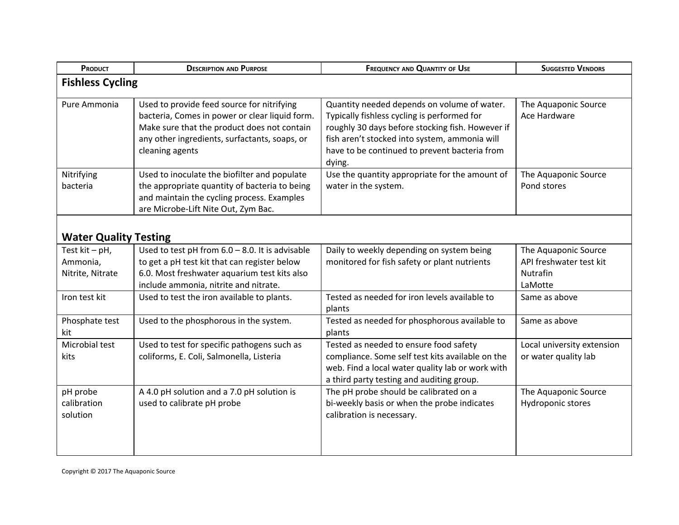| PRODUCT                                           | <b>DESCRIPTION AND PURPOSE</b>                                                                                                                                                                                  | <b>FREQUENCY AND QUANTITY OF USE</b><br><b>SUGGESTED VENDORS</b>                                                                                                                                                                                           |                                                                               |  |  |
|---------------------------------------------------|-----------------------------------------------------------------------------------------------------------------------------------------------------------------------------------------------------------------|------------------------------------------------------------------------------------------------------------------------------------------------------------------------------------------------------------------------------------------------------------|-------------------------------------------------------------------------------|--|--|
| <b>Fishless Cycling</b>                           |                                                                                                                                                                                                                 |                                                                                                                                                                                                                                                            |                                                                               |  |  |
| Pure Ammonia                                      | Used to provide feed source for nitrifying<br>bacteria, Comes in power or clear liquid form.<br>Make sure that the product does not contain<br>any other ingredients, surfactants, soaps, or<br>cleaning agents | Quantity needed depends on volume of water.<br>Typically fishless cycling is performed for<br>roughly 30 days before stocking fish. However if<br>fish aren't stocked into system, ammonia will<br>have to be continued to prevent bacteria from<br>dying. | The Aquaponic Source<br>Ace Hardware                                          |  |  |
| Nitrifying<br>bacteria                            | Used to inoculate the biofilter and populate<br>the appropriate quantity of bacteria to being<br>and maintain the cycling process. Examples<br>are Microbe-Lift Nite Out, Zym Bac.                              | Use the quantity appropriate for the amount of<br>water in the system.                                                                                                                                                                                     | The Aquaponic Source<br>Pond stores                                           |  |  |
| <b>Water Quality Testing</b>                      |                                                                                                                                                                                                                 |                                                                                                                                                                                                                                                            |                                                                               |  |  |
| Test $kit - pH$ ,<br>Ammonia,<br>Nitrite, Nitrate | Used to test pH from $6.0 - 8.0$ . It is advisable<br>to get a pH test kit that can register below<br>6.0. Most freshwater aquarium test kits also<br>include ammonia, nitrite and nitrate.                     | Daily to weekly depending on system being<br>monitored for fish safety or plant nutrients                                                                                                                                                                  | The Aquaponic Source<br>API freshwater test kit<br><b>Nutrafin</b><br>LaMotte |  |  |
| Iron test kit                                     | Used to test the iron available to plants.                                                                                                                                                                      | Tested as needed for iron levels available to<br>plants                                                                                                                                                                                                    | Same as above                                                                 |  |  |
| Phosphate test<br>kit                             | Used to the phosphorous in the system.                                                                                                                                                                          | Tested as needed for phosphorous available to<br>plants                                                                                                                                                                                                    | Same as above                                                                 |  |  |
| Microbial test<br>kits                            | Used to test for specific pathogens such as<br>coliforms, E. Coli, Salmonella, Listeria                                                                                                                         | Tested as needed to ensure food safety<br>compliance. Some self test kits available on the<br>web. Find a local water quality lab or work with<br>a third party testing and auditing group.                                                                | Local university extension<br>or water quality lab                            |  |  |
| pH probe<br>calibration<br>solution               | A 4.0 pH solution and a 7.0 pH solution is<br>used to calibrate pH probe                                                                                                                                        | The pH probe should be calibrated on a<br>bi-weekly basis or when the probe indicates<br>calibration is necessary.                                                                                                                                         | The Aquaponic Source<br>Hydroponic stores                                     |  |  |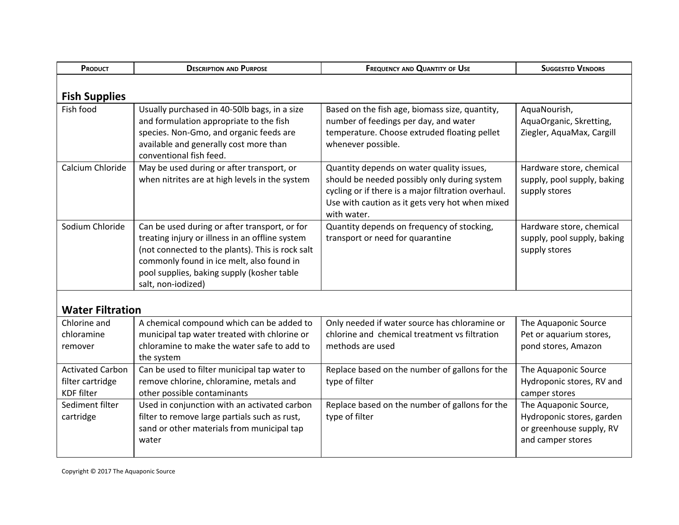| PRODUCT                                                          | <b>DESCRIPTION AND PURPOSE</b>                                                                                                                                                                                                                                        | <b>SUGGESTED VENDORS</b><br><b>FREQUENCY AND QUANTITY OF USE</b>                                                                                                                                                   |                                                                                                     |  |
|------------------------------------------------------------------|-----------------------------------------------------------------------------------------------------------------------------------------------------------------------------------------------------------------------------------------------------------------------|--------------------------------------------------------------------------------------------------------------------------------------------------------------------------------------------------------------------|-----------------------------------------------------------------------------------------------------|--|
| <b>Fish Supplies</b>                                             |                                                                                                                                                                                                                                                                       |                                                                                                                                                                                                                    |                                                                                                     |  |
| Fish food                                                        | Usually purchased in 40-50lb bags, in a size<br>and formulation appropriate to the fish<br>species. Non-Gmo, and organic feeds are<br>available and generally cost more than<br>conventional fish feed.                                                               | Based on the fish age, biomass size, quantity,<br>number of feedings per day, and water<br>temperature. Choose extruded floating pellet<br>whenever possible.                                                      | AquaNourish,<br>AquaOrganic, Skretting,<br>Ziegler, AquaMax, Cargill                                |  |
| Calcium Chloride                                                 | May be used during or after transport, or<br>when nitrites are at high levels in the system                                                                                                                                                                           | Quantity depends on water quality issues,<br>should be needed possibly only during system<br>cycling or if there is a major filtration overhaul.<br>Use with caution as it gets very hot when mixed<br>with water. | Hardware store, chemical<br>supply, pool supply, baking<br>supply stores                            |  |
| Sodium Chloride                                                  | Can be used during or after transport, or for<br>treating injury or illness in an offline system<br>(not connected to the plants). This is rock salt<br>commonly found in ice melt, also found in<br>pool supplies, baking supply (kosher table<br>salt, non-iodized) | Quantity depends on frequency of stocking,<br>transport or need for quarantine                                                                                                                                     | Hardware store, chemical<br>supply, pool supply, baking<br>supply stores                            |  |
| <b>Water Filtration</b>                                          |                                                                                                                                                                                                                                                                       |                                                                                                                                                                                                                    |                                                                                                     |  |
| Chlorine and<br>chloramine<br>remover                            | A chemical compound which can be added to<br>municipal tap water treated with chlorine or<br>chloramine to make the water safe to add to<br>the system                                                                                                                | Only needed if water source has chloramine or<br>chlorine and chemical treatment vs filtration<br>methods are used                                                                                                 | The Aquaponic Source<br>Pet or aquarium stores,<br>pond stores, Amazon                              |  |
| <b>Activated Carbon</b><br>filter cartridge<br><b>KDF</b> filter | Can be used to filter municipal tap water to<br>remove chlorine, chloramine, metals and<br>other possible contaminants                                                                                                                                                | Replace based on the number of gallons for the<br>type of filter                                                                                                                                                   | The Aquaponic Source<br>Hydroponic stores, RV and<br>camper stores                                  |  |
| Sediment filter<br>cartridge                                     | Used in conjunction with an activated carbon<br>filter to remove large partials such as rust,<br>sand or other materials from municipal tap<br>water                                                                                                                  | Replace based on the number of gallons for the<br>type of filter                                                                                                                                                   | The Aquaponic Source,<br>Hydroponic stores, garden<br>or greenhouse supply, RV<br>and camper stores |  |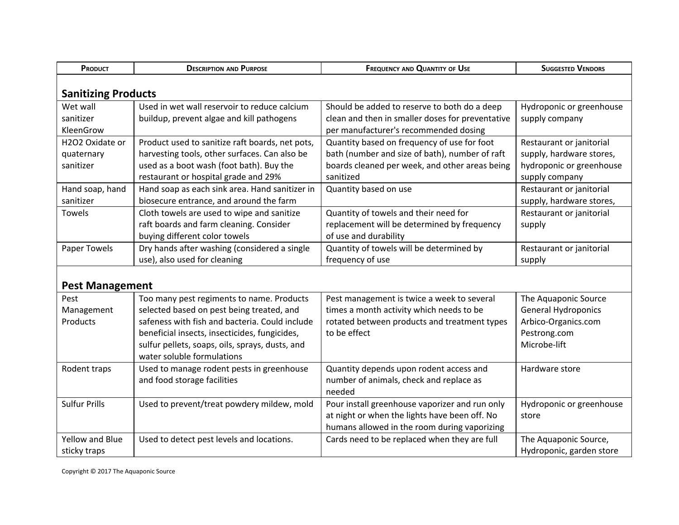| PRODUCT                    | <b>DESCRIPTION AND PURPOSE</b>                  | <b>FREQUENCY AND QUANTITY OF USE</b>             | <b>SUGGESTED VENDORS</b>   |  |  |
|----------------------------|-------------------------------------------------|--------------------------------------------------|----------------------------|--|--|
| <b>Sanitizing Products</b> |                                                 |                                                  |                            |  |  |
| Wet wall                   | Used in wet wall reservoir to reduce calcium    | Should be added to reserve to both do a deep     | Hydroponic or greenhouse   |  |  |
| sanitizer                  | buildup, prevent algae and kill pathogens       | clean and then in smaller doses for preventative | supply company             |  |  |
| KleenGrow                  |                                                 | per manufacturer's recommended dosing            |                            |  |  |
| H2O2 Oxidate or            | Product used to sanitize raft boards, net pots, | Quantity based on frequency of use for foot      | Restaurant or janitorial   |  |  |
| quaternary                 | harvesting tools, other surfaces. Can also be   | bath (number and size of bath), number of raft   | supply, hardware stores,   |  |  |
| sanitizer                  | used as a boot wash (foot bath). Buy the        | boards cleaned per week, and other areas being   | hydroponic or greenhouse   |  |  |
|                            | restaurant or hospital grade and 29%            | sanitized                                        | supply company             |  |  |
| Hand soap, hand            | Hand soap as each sink area. Hand sanitizer in  | Quantity based on use                            | Restaurant or janitorial   |  |  |
| sanitizer                  | biosecure entrance, and around the farm         |                                                  | supply, hardware stores,   |  |  |
| <b>Towels</b>              | Cloth towels are used to wipe and sanitize      | Quantity of towels and their need for            | Restaurant or janitorial   |  |  |
|                            | raft boards and farm cleaning. Consider         | replacement will be determined by frequency      | supply                     |  |  |
|                            | buying different color towels                   | of use and durability                            |                            |  |  |
| Paper Towels               | Dry hands after washing (considered a single    | Quantity of towels will be determined by         | Restaurant or janitorial   |  |  |
|                            | use), also used for cleaning                    | frequency of use                                 | supply                     |  |  |
| <b>Pest Management</b>     |                                                 |                                                  |                            |  |  |
| Pest                       | Too many pest regiments to name. Products       | Pest management is twice a week to several       | The Aquaponic Source       |  |  |
| Management                 | selected based on pest being treated, and       | times a month activity which needs to be         | <b>General Hydroponics</b> |  |  |
| Products                   | safeness with fish and bacteria. Could include  | rotated between products and treatment types     | Arbico-Organics.com        |  |  |
|                            | beneficial insects, insecticides, fungicides,   | to be effect                                     | Pestrong.com               |  |  |
|                            | sulfur pellets, soaps, oils, sprays, dusts, and |                                                  | Microbe-lift               |  |  |
|                            | water soluble formulations                      |                                                  |                            |  |  |
| Rodent traps               | Used to manage rodent pests in greenhouse       | Quantity depends upon rodent access and          | Hardware store             |  |  |
|                            | and food storage facilities                     | number of animals, check and replace as          |                            |  |  |
|                            |                                                 | needed                                           |                            |  |  |
| <b>Sulfur Prills</b>       | Used to prevent/treat powdery mildew, mold      | Pour install greenhouse vaporizer and run only   | Hydroponic or greenhouse   |  |  |
|                            |                                                 | at night or when the lights have been off. No    | store                      |  |  |
|                            |                                                 | humans allowed in the room during vaporizing     |                            |  |  |
| Yellow and Blue            | Used to detect pest levels and locations.       | Cards need to be replaced when they are full     | The Aquaponic Source,      |  |  |
| sticky traps               |                                                 |                                                  | Hydroponic, garden store   |  |  |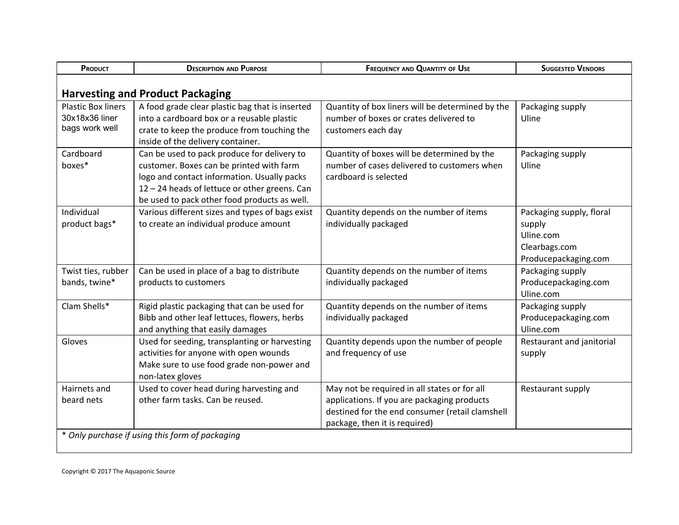| PRODUCT                                                       | <b>DESCRIPTION AND PURPOSE</b>                                                                                                                                                                                                          | <b>FREQUENCY AND QUANTITY OF USE</b><br><b>SUGGESTED VENDORS</b>                                                                                                                |                                                                                          |  |  |
|---------------------------------------------------------------|-----------------------------------------------------------------------------------------------------------------------------------------------------------------------------------------------------------------------------------------|---------------------------------------------------------------------------------------------------------------------------------------------------------------------------------|------------------------------------------------------------------------------------------|--|--|
| <b>Harvesting and Product Packaging</b>                       |                                                                                                                                                                                                                                         |                                                                                                                                                                                 |                                                                                          |  |  |
| <b>Plastic Box liners</b><br>30x18x36 liner<br>bags work well | A food grade clear plastic bag that is inserted<br>into a cardboard box or a reusable plastic<br>crate to keep the produce from touching the<br>inside of the delivery container.                                                       | Quantity of box liners will be determined by the<br>number of boxes or crates delivered to<br>customers each day                                                                | Packaging supply<br>Uline                                                                |  |  |
| Cardboard<br>boxes*                                           | Can be used to pack produce for delivery to<br>customer. Boxes can be printed with farm<br>logo and contact information. Usually packs<br>12 - 24 heads of lettuce or other greens. Can<br>be used to pack other food products as well. | Quantity of boxes will be determined by the<br>number of cases delivered to customers when<br>cardboard is selected                                                             | Packaging supply<br>Uline                                                                |  |  |
| Individual<br>product bags*                                   | Various different sizes and types of bags exist<br>to create an individual produce amount                                                                                                                                               | Quantity depends on the number of items<br>individually packaged                                                                                                                | Packaging supply, floral<br>supply<br>Uline.com<br>Clearbags.com<br>Producepackaging.com |  |  |
| Twist ties, rubber<br>bands, twine*                           | Can be used in place of a bag to distribute<br>products to customers                                                                                                                                                                    | Quantity depends on the number of items<br>individually packaged                                                                                                                | Packaging supply<br>Producepackaging.com<br>Uline.com                                    |  |  |
| Clam Shells*                                                  | Rigid plastic packaging that can be used for<br>Bibb and other leaf lettuces, flowers, herbs<br>and anything that easily damages                                                                                                        | Quantity depends on the number of items<br>individually packaged                                                                                                                | Packaging supply<br>Producepackaging.com<br>Uline.com                                    |  |  |
| Gloves                                                        | Used for seeding, transplanting or harvesting<br>activities for anyone with open wounds<br>Make sure to use food grade non-power and<br>non-latex gloves                                                                                | Quantity depends upon the number of people<br>and frequency of use                                                                                                              | Restaurant and janitorial<br>supply                                                      |  |  |
| Hairnets and<br>beard nets                                    | Used to cover head during harvesting and<br>other farm tasks. Can be reused.                                                                                                                                                            | May not be required in all states or for all<br>applications. If you are packaging products<br>destined for the end consumer (retail clamshell<br>package, then it is required) | Restaurant supply                                                                        |  |  |
| * Only purchase if using this form of packaging               |                                                                                                                                                                                                                                         |                                                                                                                                                                                 |                                                                                          |  |  |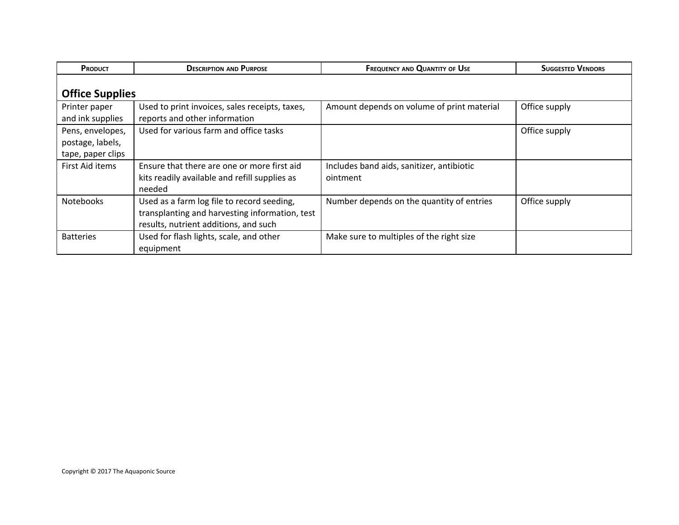| <b>PRODUCT</b>                                            | <b>DESCRIPTION AND PURPOSE</b>                                                                                                        | <b>FREQUENCY AND QUANTITY OF USE</b>                  | <b>SUGGESTED VENDORS</b> |  |  |
|-----------------------------------------------------------|---------------------------------------------------------------------------------------------------------------------------------------|-------------------------------------------------------|--------------------------|--|--|
| <b>Office Supplies</b>                                    |                                                                                                                                       |                                                       |                          |  |  |
| Printer paper<br>and ink supplies                         | Used to print invoices, sales receipts, taxes,<br>reports and other information                                                       | Amount depends on volume of print material            | Office supply            |  |  |
| Pens, envelopes,<br>postage, labels,<br>tape, paper clips | Used for various farm and office tasks                                                                                                |                                                       | Office supply            |  |  |
| First Aid items                                           | Ensure that there are one or more first aid<br>kits readily available and refill supplies as<br>needed                                | Includes band aids, sanitizer, antibiotic<br>ointment |                          |  |  |
| <b>Notebooks</b>                                          | Used as a farm log file to record seeding,<br>transplanting and harvesting information, test<br>results, nutrient additions, and such | Number depends on the quantity of entries             | Office supply            |  |  |
| <b>Batteries</b>                                          | Used for flash lights, scale, and other<br>equipment                                                                                  | Make sure to multiples of the right size              |                          |  |  |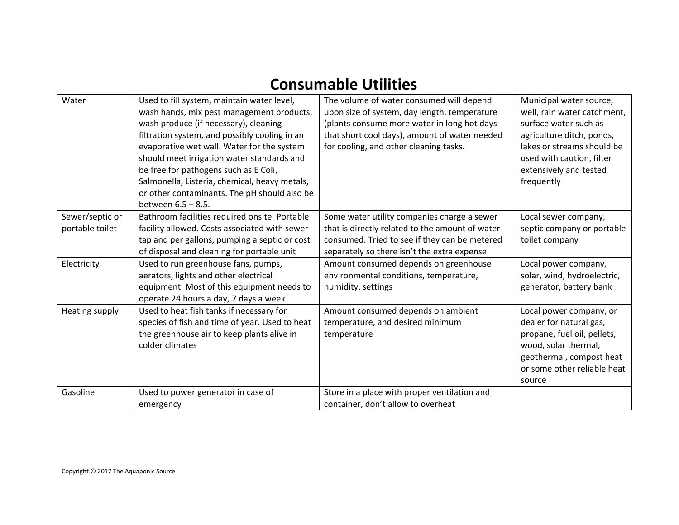## **Consumable Utilities**

| Water                              | Used to fill system, maintain water level,<br>wash hands, mix pest management products,<br>wash produce (if necessary), cleaning<br>filtration system, and possibly cooling in an<br>evaporative wet wall. Water for the system<br>should meet irrigation water standards and<br>be free for pathogens such as E Coli,<br>Salmonella, Listeria, chemical, heavy metals,<br>or other contaminants. The pH should also be<br>between $6.5 - 8.5$ . | The volume of water consumed will depend<br>upon size of system, day length, temperature<br>(plants consume more water in long hot days<br>that short cool days), amount of water needed<br>for cooling, and other cleaning tasks. | Municipal water source,<br>well, rain water catchment,<br>surface water such as<br>agriculture ditch, ponds,<br>lakes or streams should be<br>used with caution, filter<br>extensively and tested<br>frequently |
|------------------------------------|--------------------------------------------------------------------------------------------------------------------------------------------------------------------------------------------------------------------------------------------------------------------------------------------------------------------------------------------------------------------------------------------------------------------------------------------------|------------------------------------------------------------------------------------------------------------------------------------------------------------------------------------------------------------------------------------|-----------------------------------------------------------------------------------------------------------------------------------------------------------------------------------------------------------------|
| Sewer/septic or<br>portable toilet | Bathroom facilities required onsite. Portable<br>facility allowed. Costs associated with sewer<br>tap and per gallons, pumping a septic or cost<br>of disposal and cleaning for portable unit                                                                                                                                                                                                                                                    | Some water utility companies charge a sewer<br>that is directly related to the amount of water<br>consumed. Tried to see if they can be metered<br>separately so there isn't the extra expense                                     | Local sewer company,<br>septic company or portable<br>toilet company                                                                                                                                            |
| Electricity                        | Used to run greenhouse fans, pumps,<br>aerators, lights and other electrical<br>equipment. Most of this equipment needs to<br>operate 24 hours a day, 7 days a week                                                                                                                                                                                                                                                                              | Amount consumed depends on greenhouse<br>environmental conditions, temperature,<br>humidity, settings                                                                                                                              | Local power company,<br>solar, wind, hydroelectric,<br>generator, battery bank                                                                                                                                  |
| Heating supply                     | Used to heat fish tanks if necessary for<br>species of fish and time of year. Used to heat<br>the greenhouse air to keep plants alive in<br>colder climates                                                                                                                                                                                                                                                                                      | Amount consumed depends on ambient<br>temperature, and desired minimum<br>temperature                                                                                                                                              | Local power company, or<br>dealer for natural gas,<br>propane, fuel oil, pellets,<br>wood, solar thermal,<br>geothermal, compost heat<br>or some other reliable heat<br>source                                  |
| Gasoline                           | Used to power generator in case of<br>emergency                                                                                                                                                                                                                                                                                                                                                                                                  | Store in a place with proper ventilation and<br>container, don't allow to overheat                                                                                                                                                 |                                                                                                                                                                                                                 |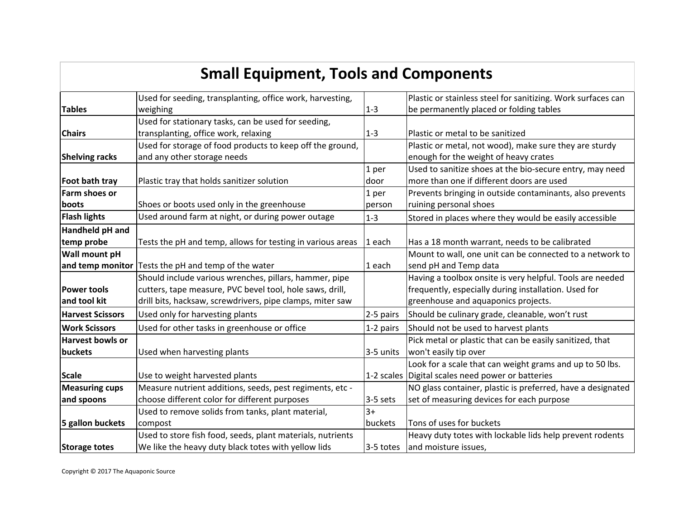## **Small Equipment, Tools and Components**

|                         | Used for seeding, transplanting, office work, harvesting,  |            | Plastic or stainless steel for sanitizing. Work surfaces can |
|-------------------------|------------------------------------------------------------|------------|--------------------------------------------------------------|
| <b>Tables</b>           | weighing                                                   | $1 - 3$    | be permanently placed or folding tables                      |
|                         | Used for stationary tasks, can be used for seeding,        |            |                                                              |
| <b>Chairs</b>           | transplanting, office work, relaxing                       | $1 - 3$    | Plastic or metal to be sanitized                             |
|                         | Used for storage of food products to keep off the ground,  |            | Plastic or metal, not wood), make sure they are sturdy       |
| <b>Shelving racks</b>   | and any other storage needs                                |            | enough for the weight of heavy crates                        |
|                         |                                                            | 1 per      | Used to sanitize shoes at the bio-secure entry, may need     |
| Foot bath tray          | Plastic tray that holds sanitizer solution                 | door       | more than one if different doors are used                    |
| Farm shoes or           |                                                            | 1 per      | Prevents bringing in outside contaminants, also prevents     |
| boots                   | Shoes or boots used only in the greenhouse                 | person     | ruining personal shoes                                       |
| <b>Flash lights</b>     | Used around farm at night, or during power outage          | $1 - 3$    | Stored in places where they would be easily accessible       |
| Handheld pH and         |                                                            |            |                                                              |
| temp probe              | Tests the pH and temp, allows for testing in various areas | 1 each     | Has a 18 month warrant, needs to be calibrated               |
| Wall mount pH           |                                                            |            | Mount to wall, one unit can be connected to a network to     |
| and temp monitor        | Tests the pH and temp of the water                         | 1 each     | send pH and Temp data                                        |
|                         | Should include various wrenches, pillars, hammer, pipe     |            | Having a toolbox onsite is very helpful. Tools are needed    |
| <b>Power tools</b>      | cutters, tape measure, PVC bevel tool, hole saws, drill,   |            | frequently, especially during installation. Used for         |
| and tool kit            | drill bits, hacksaw, screwdrivers, pipe clamps, miter saw  |            | greenhouse and aquaponics projects.                          |
| <b>Harvest Scissors</b> | Used only for harvesting plants                            | 2-5 pairs  | Should be culinary grade, cleanable, won't rust              |
| <b>Work Scissors</b>    | Used for other tasks in greenhouse or office               | 1-2 pairs  | Should not be used to harvest plants                         |
| <b>Harvest bowls or</b> |                                                            |            | Pick metal or plastic that can be easily sanitized, that     |
| buckets                 | Used when harvesting plants                                | 3-5 units  | won't easily tip over                                        |
|                         |                                                            |            | Look for a scale that can weight grams and up to 50 lbs.     |
| <b>Scale</b>            | Use to weight harvested plants                             |            | 1-2 scales Digital scales need power or batteries            |
| <b>Measuring cups</b>   | Measure nutrient additions, seeds, pest regiments, etc -   |            | NO glass container, plastic is preferred, have a designated  |
| and spoons              | choose different color for different purposes              | $3-5$ sets | set of measuring devices for each purpose                    |
|                         | Used to remove solids from tanks, plant material,          | $3+$       |                                                              |
| 5 gallon buckets        | compost                                                    | buckets    | Tons of uses for buckets                                     |
|                         | Used to store fish food, seeds, plant materials, nutrients |            | Heavy duty totes with lockable lids help prevent rodents     |
| <b>Storage totes</b>    | We like the heavy duty black totes with yellow lids        | 3-5 totes  | and moisture issues,                                         |